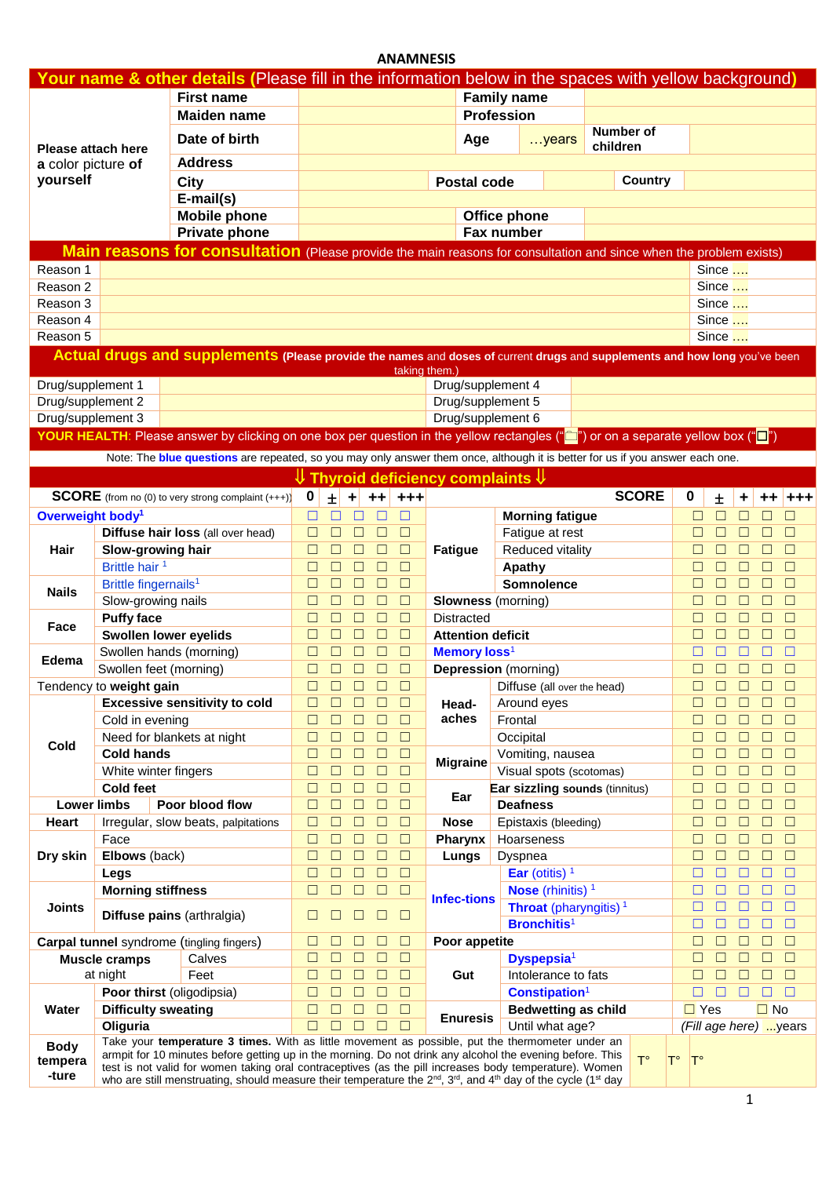|                              |                                          |                                                                                                                                                                                                               |                    |                  | <b>ANAMNESIS</b> |                                                               |                    |                                          |                                       |                                     |                  |                  |                                      |
|------------------------------|------------------------------------------|---------------------------------------------------------------------------------------------------------------------------------------------------------------------------------------------------------------|--------------------|------------------|------------------|---------------------------------------------------------------|--------------------|------------------------------------------|---------------------------------------|-------------------------------------|------------------|------------------|--------------------------------------|
|                              |                                          | Your name & other details (Please fill in the information below in the spaces with yellow background)                                                                                                         |                    |                  |                  |                                                               |                    |                                          |                                       |                                     |                  |                  |                                      |
|                              |                                          | <b>First name</b>                                                                                                                                                                                             |                    |                  |                  |                                                               | <b>Family name</b> |                                          |                                       |                                     |                  |                  |                                      |
|                              |                                          | <b>Maiden name</b>                                                                                                                                                                                            |                    |                  |                  |                                                               | <b>Profession</b>  |                                          |                                       |                                     |                  |                  |                                      |
|                              |                                          | Date of birth                                                                                                                                                                                                 |                    |                  |                  | Age                                                           |                    | $$ years                                 | <b>Number of</b>                      |                                     |                  |                  |                                      |
| Please attach here           |                                          |                                                                                                                                                                                                               |                    |                  |                  |                                                               |                    |                                          | children                              |                                     |                  |                  |                                      |
| a color picture of           |                                          | <b>Address</b>                                                                                                                                                                                                |                    |                  |                  |                                                               |                    |                                          |                                       |                                     |                  |                  |                                      |
| yourself                     |                                          | <b>City</b>                                                                                                                                                                                                   |                    |                  |                  | <b>Postal code</b>                                            |                    |                                          | <b>Country</b>                        |                                     |                  |                  |                                      |
|                              |                                          | E-mail(s)                                                                                                                                                                                                     |                    |                  |                  |                                                               |                    |                                          |                                       |                                     |                  |                  |                                      |
|                              |                                          | <b>Mobile phone</b>                                                                                                                                                                                           |                    |                  |                  |                                                               | Office phone       |                                          |                                       |                                     |                  |                  |                                      |
|                              |                                          | Private phone                                                                                                                                                                                                 |                    |                  |                  |                                                               | Fax number         |                                          |                                       |                                     |                  |                  |                                      |
|                              |                                          | Main reasons for consultation (Please provide the main reasons for consultation and since when the problem exists)                                                                                            |                    |                  |                  |                                                               |                    |                                          |                                       |                                     |                  |                  |                                      |
| Reason 1                     |                                          |                                                                                                                                                                                                               |                    |                  |                  |                                                               |                    |                                          |                                       |                                     | Since $\ldots$   |                  |                                      |
| Reason 2                     |                                          |                                                                                                                                                                                                               |                    |                  |                  |                                                               |                    |                                          |                                       |                                     | Since            |                  |                                      |
| Reason 3<br>Reason 4         |                                          |                                                                                                                                                                                                               |                    |                  |                  |                                                               |                    |                                          |                                       |                                     | Since<br>Since   |                  |                                      |
| Reason 5                     |                                          |                                                                                                                                                                                                               |                    |                  |                  |                                                               |                    |                                          |                                       |                                     | Since $\ldots$   |                  |                                      |
|                              |                                          | Actual drugs and supplements (Please provide the names and doses of current drugs and supplements and how long you've been                                                                                    |                    |                  |                  |                                                               |                    |                                          |                                       |                                     |                  |                  |                                      |
|                              |                                          |                                                                                                                                                                                                               |                    |                  |                  | taking them.)                                                 |                    |                                          |                                       |                                     |                  |                  |                                      |
| Drug/supplement 1            |                                          |                                                                                                                                                                                                               |                    |                  |                  | Drug/supplement 4                                             |                    |                                          |                                       |                                     |                  |                  |                                      |
| Drug/supplement 2            |                                          |                                                                                                                                                                                                               |                    |                  |                  | Drug/supplement 5                                             |                    |                                          |                                       |                                     |                  |                  |                                      |
| Drug/supplement 3            |                                          |                                                                                                                                                                                                               |                    |                  |                  | Drug/supplement 6                                             |                    |                                          |                                       |                                     |                  |                  |                                      |
|                              |                                          | YOUR HEALTH: Please answer by clicking on one box per question in the yellow rectangles ("◘") or on a separate yellow box ("◘")                                                                               |                    |                  |                  |                                                               |                    |                                          |                                       |                                     |                  |                  |                                      |
|                              |                                          | Note: The blue questions are repeated, so you may only answer them once, although it is better for us if you answer each one.                                                                                 |                    |                  |                  |                                                               |                    |                                          |                                       |                                     |                  |                  |                                      |
|                              |                                          |                                                                                                                                                                                                               |                    |                  |                  | $\mathsf{\Psi}$ Thyroid deficiency complaints $\mathsf{\Psi}$ |                    |                                          |                                       |                                     |                  |                  |                                      |
|                              |                                          | <b>SCORE</b> (from no (0) to very strong complaint (+++))                                                                                                                                                     | 0<br>$\pm$<br>$+1$ |                  | $++$ +++         |                                                               |                    |                                          | <b>SCORE</b>                          | 0                                   | Ŧ                | ÷                | $++$<br>$+ + +$                      |
| Overweight body <sup>1</sup> |                                          |                                                                                                                                                                                                               | $\Box$<br>П        | П<br>$\Box$      | $\Box$           |                                                               |                    | <b>Morning fatigue</b>                   |                                       | $\Box$                              | $\Box$           | $\Box$           | $\Box$<br>$\Box$                     |
|                              |                                          | Diffuse hair loss (all over head)                                                                                                                                                                             | $\Box$<br>$\Box$   | $\Box$<br>$\Box$ | $\Box$           |                                                               |                    | Fatigue at rest                          |                                       | □                                   | $\Box$           | $\Box$           | $\Box$<br>$\Box$                     |
| Hair                         | Slow-growing hair                        |                                                                                                                                                                                                               | $\Box$<br>П        | $\Box$<br>□      | $\Box$           | <b>Fatigue</b>                                                |                    | Reduced vitality                         |                                       | □                                   | $\Box$           | $\Box$           | $\Box$<br>$\Box$                     |
|                              | Brittle hair <sup>1</sup>                |                                                                                                                                                                                                               | $\Box$<br>$\Box$   | $\Box$<br>$\Box$ | $\Box$           |                                                               | Apathy             |                                          |                                       | □                                   | $\Box$           | $\Box$           | $\Box$<br>$\Box$                     |
|                              | Brittle fingernails <sup>1</sup>         |                                                                                                                                                                                                               | $\Box$<br>□        | $\Box$<br>$\Box$ | $\Box$           |                                                               |                    | Somnolence                               |                                       | $\Box$                              | $\Box$           | $\Box$           | $\Box$<br>$\Box$                     |
| <b>Nails</b>                 | Slow-growing nails                       |                                                                                                                                                                                                               | $\Box$<br>$\Box$   | $\Box$<br>$\Box$ | $\Box$           | <b>Slowness</b> (morning)                                     |                    |                                          |                                       | $\Box$                              | $\Box$           | $\Box$           | $\Box$<br>$\Box$                     |
| Face                         | <b>Puffy face</b>                        |                                                                                                                                                                                                               | $\Box$<br>П        | $\Box$<br>$\Box$ | $\Box$           | <b>Distracted</b>                                             |                    |                                          |                                       | □                                   | $\Box$           | $\Box$           | $\Box$<br>$\Box$                     |
|                              | Swollen lower eyelids                    |                                                                                                                                                                                                               | □<br>П             | $\Box$<br>$\Box$ | $\Box$           | <b>Attention deficit</b>                                      |                    |                                          |                                       | □                                   | $\Box$           | $\Box$           | $\Box$<br>$\Box$                     |
| Edema                        | Swollen hands (morning)                  |                                                                                                                                                                                                               | $\Box$<br>Г        | $\Box$           | $\Box$           | Memory loss <sup>1</sup>                                      |                    |                                          |                                       |                                     |                  |                  | □                                    |
|                              | Swollen feet (morning)                   |                                                                                                                                                                                                               | $\Box$<br>□        | $\Box$<br>$\Box$ | $\Box$           | <b>Depression</b> (morning)                                   |                    |                                          |                                       | □                                   | $\Box$           | $\Box$<br>$\Box$ | $\Box$                               |
|                              | Tendency to weight gain                  |                                                                                                                                                                                                               |                    |                  | $\Box$           |                                                               |                    | Diffuse (all over the head)              |                                       |                                     |                  |                  | $\Box$<br>$\Box$                     |
|                              |                                          | <b>Excessive sensitivity to cold</b>                                                                                                                                                                          | Ш                  |                  | ⊔                | Head-                                                         | Around eyes        |                                          |                                       |                                     |                  |                  | □                                    |
|                              | Cold in evening                          |                                                                                                                                                                                                               | $\Box$<br>□        | Ш                | □                | aches                                                         | Frontal            |                                          |                                       |                                     | $\Box$           | $\Box$           | □<br>□                               |
| Cold                         |                                          | Need for blankets at night                                                                                                                                                                                    | □<br>$\Box$        | $\Box$           | $\Box$           |                                                               | Occipital          |                                          |                                       |                                     | □                | □                | $\Box$<br>□                          |
|                              | <b>Cold hands</b>                        |                                                                                                                                                                                                               | □                  | $\Box$<br>□      | $\Box$<br>$\Box$ | <b>Migraine</b>                                               |                    | Vomiting, nausea                         |                                       |                                     | □                | □<br>$\Box$      | $\Box$<br>$\Box$<br>$\Box$<br>$\Box$ |
|                              | White winter fingers<br><b>Cold feet</b> |                                                                                                                                                                                                               | □<br>□<br>□<br>□   | П<br>□<br>□      | $\Box$           |                                                               |                    | Visual spots (scotomas)                  | <b>Ear sizzling sounds (tinnitus)</b> | $\Box$<br>$\Box$                    | $\Box$<br>$\Box$ | □                | $\Box$<br>$\Box$                     |
| <b>Lower limbs</b>           |                                          | Poor blood flow                                                                                                                                                                                               | П<br>□             | $\Box$<br>$\Box$ | $\Box$           | Ear                                                           | <b>Deafness</b>    |                                          |                                       | □                                   | $\Box$           | $\Box$           | $\Box$<br>$\Box$                     |
| Heart                        |                                          | Irregular, slow beats, palpitations                                                                                                                                                                           | □<br>□             | □<br>$\Box$      | $\Box$           | <b>Nose</b>                                                   |                    | Epistaxis (bleeding)                     |                                       | □                                   | $\Box$           | $\Box$           | $\Box$<br>$\Box$                     |
|                              | Face                                     |                                                                                                                                                                                                               | $\Box$<br>Г        | □<br>$\Box$      | $\Box$           | Pharynx                                                       | Hoarseness         |                                          |                                       | $\Box$                              | $\Box$           | $\Box$           | $\Box$<br>$\Box$                     |
| Dry skin                     | Elbows (back)                            |                                                                                                                                                                                                               | $\Box$<br>Г        | □<br>$\Box$      | $\Box$           | Lungs                                                         | Dyspnea            |                                          |                                       | П                                   | $\Box$           | $\Box$           | $\Box$<br>$\Box$                     |
|                              | Legs                                     |                                                                                                                                                                                                               | $\Box$<br>$\Box$   | $\Box$<br>$\Box$ | $\Box$           |                                                               |                    | Ear (otitis) $1$                         |                                       | □                                   | $\Box$           | $\Box$           | $\Box$<br>$\Box$                     |
|                              | <b>Morning stiffness</b>                 |                                                                                                                                                                                                               | $\Box$<br>$\Box$   | $\Box$<br>$\Box$ | $\Box$           |                                                               |                    | Nose (rhinitis) <sup>1</sup>             |                                       | □                                   | $\Box$           | $\Box$           | $\Box$<br>$\Box$                     |
| <b>Joints</b>                |                                          |                                                                                                                                                                                                               |                    |                  |                  | <b>Infec-tions</b>                                            |                    | <b>Throat</b> (pharyngitis) <sup>1</sup> |                                       | □                                   | $\Box$           | $\Box$<br>$\Box$ | $\Box$                               |
|                              |                                          | Diffuse pains (arthralgia)                                                                                                                                                                                    | $\Box$             | $\Box$           | $\Box$           |                                                               |                    | <b>Bronchitis<sup>1</sup></b>            |                                       | □                                   | $\Box$           | $\Box$<br>$\Box$ | $\Box$                               |
|                              |                                          | Carpal tunnel syndrome (tingling fingers)                                                                                                                                                                     | □<br>П             | П<br>$\Box$      | $\Box$           | Poor appetite                                                 |                    |                                          |                                       | □                                   | □                | □                | $\Box$<br>$\Box$                     |
|                              | <b>Muscle cramps</b>                     | Calves                                                                                                                                                                                                        | □<br>□             | □<br>□           | $\Box$           |                                                               |                    | Dyspepsia <sup>1</sup>                   |                                       | □                                   | □                | $\Box$<br>$\Box$ | $\Box$                               |
|                              | at night                                 | Feet                                                                                                                                                                                                          | □<br>П             | □<br>□           | $\Box$           | Gut                                                           |                    | Intolerance to fats                      |                                       | $\Box$                              | $\Box$           | □                | $\Box$<br>$\Box$                     |
|                              | Poor thirst (oligodipsia)                |                                                                                                                                                                                                               | □<br>□             | □<br>□           | $\Box$           |                                                               |                    | Constipation <sup>1</sup>                |                                       | □                                   | $\Box$           | □                | $\Box$<br>□                          |
| Water                        | <b>Difficulty sweating</b>               |                                                                                                                                                                                                               | □<br>П             | □<br>$\Box$      | $\Box$           | <b>Enuresis</b>                                               |                    | <b>Bedwetting as child</b>               |                                       | $\Box$ Yes                          |                  |                  | $\Box$ No                            |
|                              | Oliguria                                 |                                                                                                                                                                                                               | $\Box$<br>П        | □<br>П           | $\Box$           |                                                               |                    | Until what age?                          |                                       |                                     |                  |                  | (Fill age here) years                |
| <b>Body</b>                  |                                          | Take your temperature 3 times. With as little movement as possible, put the thermometer under an<br>armpit for 10 minutes before getting up in the morning. Do not drink any alcohol the evening before. This |                    |                  |                  |                                                               |                    |                                          |                                       |                                     |                  |                  |                                      |
| tempera                      |                                          | test is not valid for women taking oral contraceptives (as the pill increases body temperature). Women                                                                                                        |                    |                  |                  |                                                               |                    |                                          | $T^{\circ}$                           | $T^{\circ}$<br>$\mathsf{T}^{\circ}$ |                  |                  |                                      |
| -ture                        |                                          | who are still menstruating, should measure their temperature the $2^{nd}$ , $3^{rd}$ , and $4^{th}$ day of the cycle (1 <sup>st</sup> day                                                                     |                    |                  |                  |                                                               |                    |                                          |                                       |                                     |                  |                  |                                      |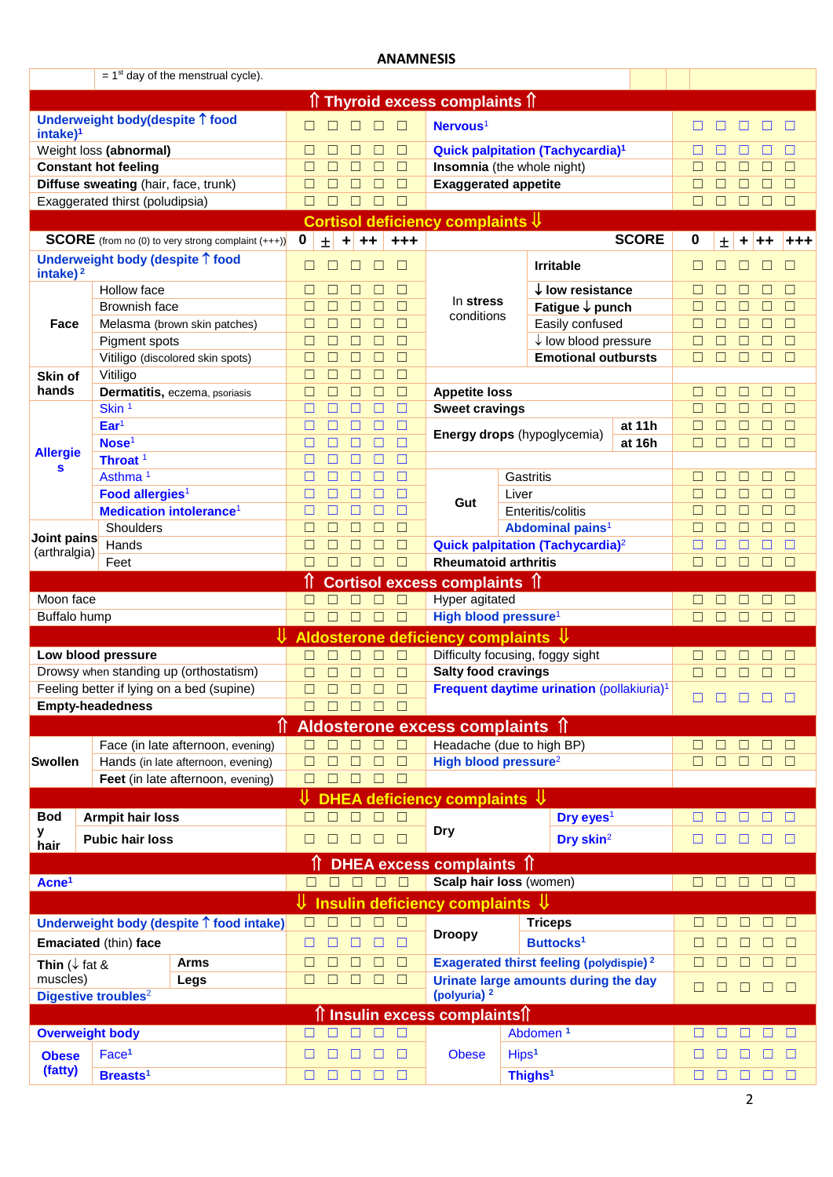|                          |                                      |                                                           |                                      |                                        | <b>ANAMNESIS</b>           |                                                     |                   |                                                            |              |        |        |             |        |             |
|--------------------------|--------------------------------------|-----------------------------------------------------------|--------------------------------------|----------------------------------------|----------------------------|-----------------------------------------------------|-------------------|------------------------------------------------------------|--------------|--------|--------|-------------|--------|-------------|
|                          |                                      | $= 1st$ day of the menstrual cycle).                      |                                      |                                        |                            |                                                     |                   |                                                            |              |        |        |             |        |             |
|                          |                                      |                                                           |                                      |                                        |                            | <del>∩</del> Thyroid excess complaints ∩            |                   |                                                            |              |        |        |             |        |             |
|                          | Underweight body(despite ↑ food      |                                                           |                                      |                                        |                            |                                                     |                   |                                                            |              |        |        |             |        |             |
| intake) <sup>1</sup>     |                                      |                                                           | П                                    |                                        | $\Box$<br>П                | Nervous <sup>1</sup>                                |                   |                                                            |              |        |        |             |        | $\Box$      |
|                          | Weight loss (abnormal)               |                                                           | □<br>П                               | П                                      | $\Box$<br>П                |                                                     |                   | Quick palpitation (Tachycardia) <sup>1</sup>               |              |        |        |             |        | П           |
|                          | <b>Constant hot feeling</b>          |                                                           | $\Box$<br>П                          |                                        | П<br>$\Box$                | Insomnia (the whole night)                          |                   |                                                            |              |        |        |             |        | □           |
|                          | Diffuse sweating (hair, face, trunk) |                                                           | $\Box$<br>□                          |                                        | П<br>$\Box$                | <b>Exaggerated appetite</b>                         |                   |                                                            |              | ⊏      |        |             |        | □           |
|                          | Exaggerated thirst (poludipsia)      |                                                           | $\Box$<br>$\Box$                     |                                        | $\Box$<br>$\Box$           |                                                     |                   |                                                            |              | □      | П      | □           | П      | $\Box$      |
|                          |                                      |                                                           |                                      |                                        |                            | Cortisol deficiency complaints $\mathbb \Downarrow$ |                   |                                                            |              |        |        |             |        |             |
|                          |                                      | <b>SCORE</b> (from no (0) to very strong complaint (+++)) | $\mathbf 0$<br>$\pm$                 | $++$<br>$+ $                           | $+ + +$                    |                                                     |                   |                                                            | <b>SCORE</b> | 0      | 土      |             |        |             |
| intake) $2$              |                                      | Underweight body (despite 1 food                          | □<br>П                               | П                                      | $\Box$<br>□                |                                                     |                   | <b>Irritable</b>                                           |              | ⊔      | Ш      |             | П      | $\Box$      |
|                          | Hollow face                          |                                                           | $\Box$<br>$\Box$                     | □                                      | □<br>$\Box$                |                                                     |                   | $\downarrow$ low resistance                                |              | □      | □      | □           | П      | $\Box$      |
|                          | <b>Brownish face</b>                 |                                                           | $\Box$<br>$\Box$                     | □                                      | □<br>$\Box$                | In stress<br>conditions                             |                   | Fatigue ↓ punch                                            |              | $\Box$ | $\Box$ | $\Box$      | □      | $\Box$      |
| Face                     |                                      | Melasma (brown skin patches)                              | $\Box$<br>$\Box$                     | $\Box$                                 | $\Box$<br>$\Box$           |                                                     |                   | Easily confused                                            |              | $\Box$ | $\Box$ | $\Box$      | □      | $\Box$      |
|                          | Pigment spots                        |                                                           | $\Box$<br>$\Box$                     | $\Box$                                 | $\Box$<br>$\Box$           |                                                     |                   | $\downarrow$ low blood pressure                            |              | $\Box$ | $\Box$ | $\Box$      | □      | $\Box$      |
|                          |                                      | Vitiligo (discolored skin spots)                          | $\Box$<br>$\Box$                     | $\Box$                                 | $\Box$<br>$\Box$           |                                                     |                   | <b>Emotional outbursts</b>                                 |              | П      | $\Box$ | $\Box$      | □      | $\Box$      |
| Skin of                  | Vitiligo                             |                                                           | $\Box$<br>$\Box$                     | □                                      | $\Box$<br>П                |                                                     |                   |                                                            |              |        |        |             |        |             |
| hands                    |                                      | Dermatitis, eczema, psoriasis                             | $\Box$<br>$\Box$                     | П                                      | $\Box$<br>П                | <b>Appetite loss</b>                                |                   |                                                            |              | П      | Ш      | Ш           | П      | $\Box$      |
|                          | Skin <sup>1</sup>                    |                                                           | □<br>□                               |                                        | $\Box$<br>Г                | <b>Sweet cravings</b>                               |                   |                                                            |              |        |        | П           | П      | $\Box$      |
|                          | Ear <sup>1</sup>                     |                                                           | □<br>□                               |                                        | П<br>П                     |                                                     |                   | Energy drops (hypoglycemia)                                | at 11h       |        |        | П           | П      | $\Box$      |
| <b>Allergie</b>          | Nose <sup>1</sup>                    |                                                           | □<br>⊔                               | П                                      | □<br>□                     |                                                     |                   |                                                            | at 16h       |        | $\Box$ | ⊔           | П      | $\Box$      |
| S                        | Throat <sup>1</sup>                  |                                                           | □<br>⊔                               | П                                      | П<br>□                     |                                                     |                   |                                                            |              |        |        |             |        |             |
|                          | Asthma <sup>1</sup>                  |                                                           | □<br>⊔                               |                                        | П<br>Г                     |                                                     |                   | Gastritis                                                  |              |        |        |             |        | $\Box$      |
|                          | Food allergies <sup>1</sup>          |                                                           | □<br>□                               |                                        | П<br>□                     | Gut                                                 | Liver             |                                                            |              |        |        |             |        | П           |
|                          |                                      | <b>Medication intolerance<sup>1</sup></b>                 | □<br>П                               |                                        | $\Box$<br>г                |                                                     |                   | Enteritis/colitis                                          |              |        |        |             |        | □           |
| Joint pains              | Shoulders                            |                                                           | $\Box$<br>□                          |                                        | П<br>$\Box$                |                                                     |                   | Abdominal pains <sup>1</sup>                               |              |        |        |             |        | □           |
| (arthralgia)             | Hands                                |                                                           | $\Box$<br>$\Box$<br>$\Box$<br>$\Box$ | П<br>$\Box$                            | $\Box$<br>Г<br>П<br>$\Box$ | <b>Rheumatoid arthritis</b>                         |                   | Quick palpitation (Tachycardia) <sup>2</sup>               |              | $\Box$ | П      | П<br>$\Box$ | П<br>□ | □<br>$\Box$ |
|                          | Feet                                 |                                                           |                                      |                                        |                            |                                                     |                   |                                                            |              |        |        |             |        |             |
|                          |                                      |                                                           |                                      |                                        |                            | <b>Cortisol excess complaints 1</b>                 |                   |                                                            |              |        |        |             |        |             |
| Moon face                |                                      |                                                           | $\Box$<br>$\Box$                     | $\Box$                                 | $\Box$<br>$\Box$           | <b>Hyper agitated</b>                               |                   |                                                            |              | П      |        |             |        | $\Box$      |
| Buffalo hump             |                                      |                                                           | $\Box$<br>$\Box$                     | $\Box$                                 | $\Box$<br>$\Box$           | High blood pressure <sup>1</sup>                    |                   |                                                            |              | П      | $\Box$ | □           | П      | $\Box$      |
|                          |                                      |                                                           |                                      |                                        |                            | Aldosterone deficiency complaints ↓                 |                   |                                                            |              |        |        |             |        |             |
|                          | Low blood pressure                   |                                                           | $\Box$<br>П                          | $\Box$                                 | $\Box$<br>$\Box$           |                                                     |                   | Difficulty focusing, foggy sight                           |              |        |        |             |        | $\Box$      |
|                          |                                      | Drowsy when standing up (orthostatism)                    | $\Box$                               | $\Box$ $\Box$ $\Box$                   | $\Box$                     | <b>Salty food cravings</b>                          |                   |                                                            |              | $\Box$ | $\Box$ | $\Box$      | $\Box$ |             |
|                          |                                      | Feeling better if lying on a bed (supine)                 | ⊓<br>□                               | $\Box$                                 | $\Box$ $\Box$              |                                                     |                   | Frequent daytime urination (pollakiuria) <sup>1</sup>      |              | □      |        |             |        | П           |
|                          | <b>Empty-headedness</b>              |                                                           | П.<br>$\Box$                         |                                        | $\Box$ $\Box$<br>$\Box$    |                                                     |                   |                                                            |              |        |        |             |        |             |
|                          |                                      | ⇑                                                         |                                      |                                        |                            | Aldosterone excess complaints 1                     |                   |                                                            |              |        |        |             |        |             |
|                          |                                      | Face (in late afternoon, evening)                         | П                                    |                                        | $\Box$<br>□                | Headache (due to high BP)                           |                   |                                                            |              |        |        |             | П      | $\Box$      |
| <b>Swollen</b>           |                                      | Hands (in late afternoon, evening)                        | $\Box$                               |                                        | $\Box$<br>$\Box$           | High blood pressure <sup>2</sup>                    |                   |                                                            |              | $\Box$ | П      | Ш           |        | $\Box$      |
|                          |                                      | Feet (in late afternoon, evening)                         | $\Box$                               |                                        | $\Box$<br>$\Box$           |                                                     |                   |                                                            |              |        |        |             |        |             |
|                          |                                      |                                                           |                                      |                                        |                            | <b>DHEA deficiency complaints</b>                   |                   | ₩                                                          |              |        |        |             |        |             |
| <b>Bod</b>               | <b>Armpit hair loss</b>              |                                                           | П<br>П                               | П.                                     | $\Box$<br>$\Box$           |                                                     |                   | Dry eyes <sup>1</sup>                                      |              |        |        |             |        | $\Box$      |
| у<br>hair                | <b>Pubic hair loss</b>               |                                                           | $\Box$<br>$\Box$                     | $\begin{array}{c} \square \end{array}$ | $\Box$                     | Dry                                                 |                   | Dry skin <sup>2</sup>                                      |              | □      | □      | Ш           | $\Box$ | ۰o          |
|                          |                                      |                                                           |                                      |                                        |                            | <b>DHEA</b> excess complaints 1                     |                   |                                                            |              |        |        |             |        |             |
| Acne <sup>1</sup>        |                                      |                                                           |                                      |                                        | 00000                      | Scalp hair loss (women)                             |                   |                                                            |              | ⊓      | $\Box$ |             |        |             |
|                          |                                      |                                                           |                                      |                                        |                            |                                                     |                   |                                                            |              |        |        | $\Box$      | $\Box$ |             |
|                          |                                      |                                                           | ⇓                                    |                                        |                            | Insulin deficiency complaints $\mathcal V$          |                   |                                                            |              |        |        |             |        |             |
|                          |                                      | Underweight body (despite 1 food intake)                  | П<br>П                               |                                        | П<br>$\Box$                | <b>Droopy</b>                                       |                   | <b>Triceps</b>                                             |              |        | $\Box$ | $\Box$      | П      | $\Box$      |
|                          | Emaciated (thin) face                |                                                           | □<br>П                               | ⊓                                      | □<br>□                     |                                                     |                   | Buttocks <sup>1</sup>                                      |              |        | $\Box$ | $\Box$      | $\Box$ | $\Box$      |
| Thin $(\downarrow$ fat & |                                      | <b>Arms</b>                                               | $\Box$<br>⊔                          | П                                      | □<br>$\Box$                |                                                     |                   | <b>Exagerated thirst feeling (polydispie)</b> <sup>2</sup> |              |        |        | $\Box$      | $\Box$ | $\Box$      |
| muscles)                 |                                      | Legs                                                      | $\Box$<br>$\Box$                     | $\Box$                                 | □<br>$\Box$                |                                                     |                   | Urinate large amounts during the day                       |              | ப      | $\Box$ | $\Box$      | $\Box$ | $\Box$      |
|                          | Digestive troubles <sup>2</sup>      |                                                           |                                      |                                        |                            | (polyuria) <sup>2</sup>                             |                   |                                                            |              |        |        |             |        |             |
|                          |                                      |                                                           |                                      |                                        |                            | ↑ Insulin excess complaints                         |                   |                                                            |              |        |        |             |        |             |
| <b>Overweight body</b>   |                                      |                                                           | П                                    |                                        | П.<br>$\Box$               |                                                     |                   | Abdomen <sup>1</sup>                                       |              |        |        |             | П      | □           |
| <b>Obese</b>             | Face <sup>1</sup>                    |                                                           | П<br>ш                               | ш                                      | □<br>□                     | <b>Obese</b>                                        | Hips <sup>1</sup> |                                                            |              | ш      |        |             | $\Box$ | □           |
| (fatty)                  | Breasts <sup>1</sup>                 |                                                           | □<br>□                               | П                                      | П<br>□                     |                                                     |                   | Thighs <sup>1</sup>                                        |              | П      | П      |             | П      | □           |
|                          |                                      |                                                           |                                      |                                        |                            |                                                     |                   |                                                            |              |        |        |             |        |             |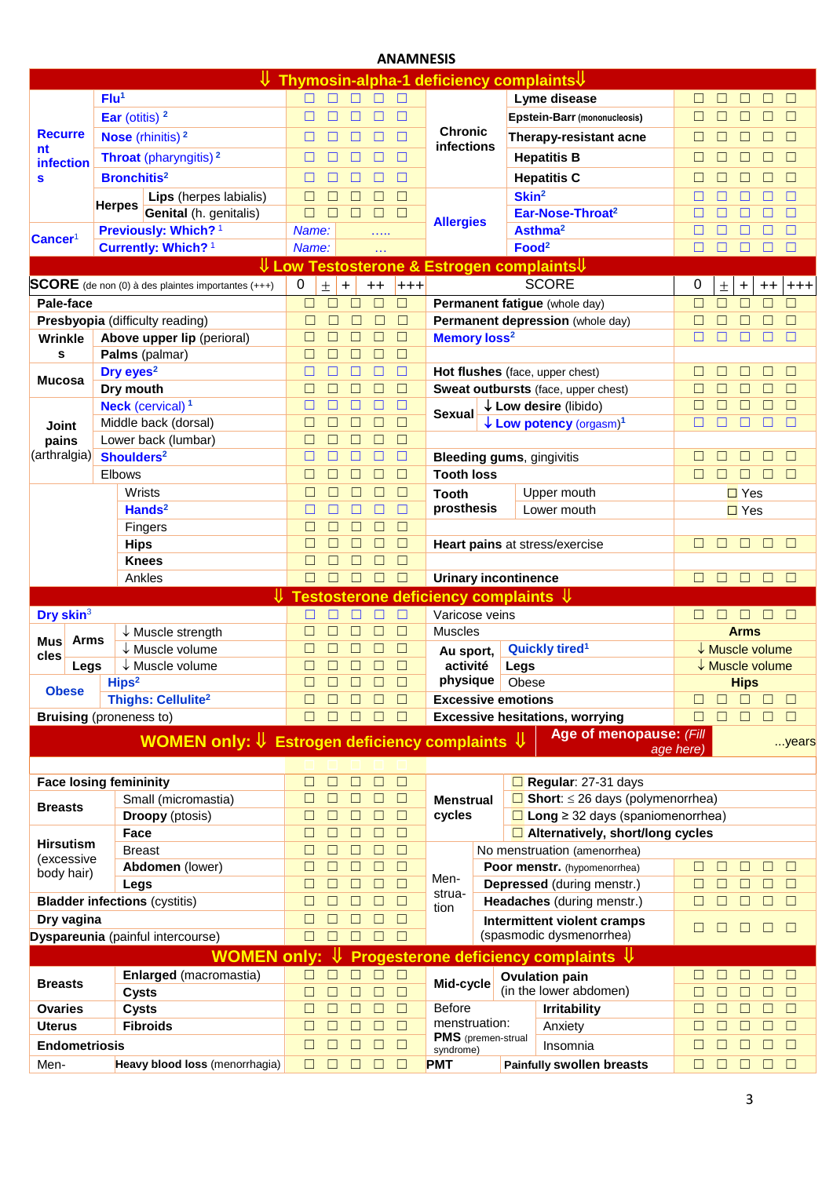## **ANAMNESIS**

|                                |             |                               | ⇓                                                                    |                  |                  |             |                  |                  |                                                 |                   | Thymosin-alpha-1 deficiency complaints V        |             |                  |                            |              |                  |
|--------------------------------|-------------|-------------------------------|----------------------------------------------------------------------|------------------|------------------|-------------|------------------|------------------|-------------------------------------------------|-------------------|-------------------------------------------------|-------------|------------------|----------------------------|--------------|------------------|
|                                |             | Flu <sup>1</sup>              |                                                                      | П.               | □                | □           | П                | □                |                                                 |                   | Lyme disease                                    | П           | $\Box$           | $\Box$                     | $\mathbf{L}$ | $\Box$           |
|                                |             | Ear (otitis) $2$              |                                                                      | □                | П                | □           | □                | □                |                                                 |                   | <b>Epstein-Barr (mononucleosis)</b>             | □           | □                | $\Box$                     | П            | $\Box$           |
| <b>Recurre</b>                 |             |                               | <b>Nose</b> (rhinitis) $2$                                           | □                | П                | П           | □                | $\Box$           | <b>Chronic</b>                                  |                   | Therapy-resistant acne                          | П           | П                | $\Box$                     | П            | $\Box$           |
| nt                             |             |                               | Throat (pharyngitis) <sup>2</sup>                                    | □                |                  |             |                  | □                | <b>infections</b>                               |                   | <b>Hepatitis B</b>                              | П           | $\Box$           | $\Box$                     |              | $\Box$           |
| infection                      |             | <b>Bronchitis<sup>2</sup></b> |                                                                      |                  |                  |             | П                | □                |                                                 |                   | <b>Hepatitis C</b>                              |             |                  |                            | П            | П                |
| S                              |             |                               |                                                                      | ⊔                | П                |             |                  | $\Box$           |                                                 | Skin <sup>2</sup> |                                                 | L           |                  | $\overline{\phantom{a}}$   |              |                  |
|                                |             | <b>Herpes</b>                 | Lips (herpes labialis)<br><b>Genital</b> (h. genitalis)              | □<br>$\Box$      | П                | □<br>□      | $\Box$<br>$\Box$ | $\Box$           |                                                 |                   | Ear-Nose-Throat <sup>2</sup>                    | П           |                  | П<br>□                     | П            | $\Box$<br>$\Box$ |
|                                |             |                               | Previously: Which? <sup>1</sup>                                      | Name:            |                  |             |                  |                  | <b>Allergies</b>                                |                   | Asthma <sup>2</sup>                             | Г           |                  | П                          | П            | $\Box$           |
| Cancer <sup>1</sup>            |             |                               | Currently: Which? <sup>1</sup>                                       | Name:            |                  |             | .<br>$\ddotsc$   |                  |                                                 | Food <sup>2</sup> |                                                 |             | П                | $\Box$                     | □            | $\Box$           |
|                                |             |                               | $\sqrt{\mathsf{Low}}$                                                |                  |                  |             |                  |                  |                                                 |                   | Testosterone & Estrogen complaints↓             |             |                  |                            |              |                  |
|                                |             |                               | <b>SCORE</b> (de non (0) à des plaintes importantes (+++)            | 0                | $\pm$            | $\ddot{}$   | $++$             | $+ + +$          |                                                 |                   | <b>SCORE</b>                                    | 0           | $\pm$            | $\ddot{}$                  | $++$         | $^{+++}$         |
| Pale-face                      |             |                               |                                                                      | □                | $\Box$           |             | П                | $\Box$           |                                                 |                   | Permanent fatigue (whole day)                   | $\Box$      | $\Box$           | $\Box$                     | П            | Г                |
|                                |             |                               | Presbyopia (difficulty reading)                                      | $\Box$           | □                | $\Box$      | П                | $\Box$           |                                                 |                   | Permanent depression (whole day)                | $\Box$      |                  |                            |              | П                |
| Wrinkle                        |             |                               | Above upper lip (perioral)                                           | $\Box$           | □                |             | П                | $\Box$           | <b>Memory loss<sup>2</sup></b>                  |                   |                                                 | $\Box$      |                  | $\Box$                     |              | П                |
| S                              |             |                               | Palms (palmar)                                                       | □                | □                | $\Box$      | $\Box$           | $\Box$           |                                                 |                   |                                                 |             |                  |                            |              |                  |
|                                |             | Dry eyes <sup>2</sup>         |                                                                      | □                | □                | $\Box$      | П                | $\Box$           |                                                 |                   | Hot flushes (face, upper chest)                 | П           | П                | o                          |              | $\Box$           |
| <b>Mucosa</b>                  |             | Dry mouth                     |                                                                      | □                | $\Box$           | $\Box$      | П                | $\Box$           |                                                 |                   | Sweat outbursts (face, upper chest)             | Г           |                  |                            |              | $\Box$           |
|                                |             |                               | <b>Neck</b> (cervical) <sup>1</sup>                                  | □                | □                | $\Box$      | $\Box$           | $\Box$           | Sexual                                          |                   | $\downarrow$ Low desire (libido)                | Г           |                  | $\Box$                     | П            | $\Box$           |
| <b>Joint</b>                   |             |                               | Middle back (dorsal)                                                 | $\Box$           | $\Box$           | $\Box$      | $\Box$           | $\Box$           |                                                 |                   | $\downarrow$ Low potency (orgasm) <sup>1</sup>  | П           |                  | □                          | П            | $\Box$           |
| pains                          |             |                               | Lower back (lumbar)                                                  | $\Box$           | П                | □           | $\Box$           | $\Box$           |                                                 |                   |                                                 |             |                  |                            |              |                  |
| (arthralgia)                   |             | Shoulders <sup>2</sup>        |                                                                      | $\Box$           | П                | $\Box$      | П                | $\Box$           |                                                 |                   | <b>Bleeding gums, gingivitis</b>                | □           | П                | П                          | П            | $\Box$           |
|                                |             | <b>Elbows</b>                 |                                                                      | $\Box$           | П                | □           | П                | $\Box$           | <b>Tooth loss</b>                               |                   |                                                 | $\Box$      | П                | $\Box$                     | □            | $\Box$           |
|                                |             | Wrists                        |                                                                      | □                | П                |             | □                | □                | <b>Tooth</b>                                    |                   | Upper mouth                                     |             |                  | $\Box$ Yes                 |              |                  |
|                                |             |                               | Hands $2$                                                            | □                | $\Box$           | ⊏           | □                | П                | prosthesis                                      |                   | Lower mouth                                     |             |                  | $\Box$ Yes                 |              |                  |
|                                |             |                               | Fingers                                                              | $\Box$           | $\Box$           | П           | $\Box$           | $\Box$           |                                                 |                   |                                                 |             |                  |                            |              |                  |
|                                |             | <b>Hips</b><br><b>Knees</b>   |                                                                      | $\Box$<br>$\Box$ | П<br>П           | П<br>П      | □<br>$\Box$      | $\Box$<br>$\Box$ |                                                 |                   | Heart pains at stress/exercise                  | □           | П                | $\Box$                     | $\Box$       | $\Box$           |
|                                |             | Ankles                        |                                                                      | □                | П                | $\Box$      | □                | □                | <b>Urinary incontinence</b>                     |                   |                                                 | П           | □                | $\Box$                     | $\Box$       | $\Box$           |
|                                |             |                               |                                                                      |                  |                  |             |                  |                  | Testosterone deficiency complaints $\Downarrow$ |                   |                                                 |             |                  |                            |              |                  |
| Dry skin <sup>3</sup>          |             |                               |                                                                      |                  |                  |             |                  | П                | Varicose veins                                  |                   |                                                 |             | П                | $\Box$                     | in in        |                  |
|                                |             |                               | $\downarrow$ Muscle strength                                         | П                |                  |             | П                | $\Box$           | <b>Muscles</b>                                  |                   |                                                 |             |                  | <b>Arms</b>                |              |                  |
| <b>Mus</b>                     | <b>Arms</b> |                               | $\downarrow$ Muscle volume                                           | П                | □                | $\Box$      | $\Box$           | $\Box$           | Au sport,                                       |                   | Quickly tired <sup>1</sup>                      |             |                  | $\downarrow$ Muscle volume |              |                  |
| cles                           | Legs        |                               | $\downarrow$ Muscle volume                                           | Г                |                  |             | П                | $\Box$           | activité                                        | Legs              |                                                 |             |                  | ↓ Muscle volume            |              |                  |
| <b>Obese</b>                   |             | Hips <sup>2</sup>             |                                                                      | $\Box$           | □                | □           | $\Box$           | $\Box$           | physique                                        | Obese             |                                                 |             |                  | <b>Hips</b>                |              |                  |
|                                |             |                               | <b>Thighs: Cellulite<sup>2</sup></b>                                 | □                |                  |             |                  | $\Box$           | <b>Excessive emotions</b>                       |                   |                                                 |             |                  |                            |              | $\Box$           |
| <b>Bruising</b> (proneness to) |             |                               |                                                                      | $\Box$           | П                |             |                  | П                |                                                 |                   | <b>Excessive hesitations, worrying</b>          | $\Box$      | П                | П                          |              | П                |
|                                |             |                               | WOMEN only: $\Downarrow$ Estrogen deficiency complaints $\Downarrow$ |                  |                  |             |                  |                  |                                                 |                   | Age of menopause: (Fill                         |             |                  |                            |              | years            |
|                                |             |                               |                                                                      |                  |                  |             |                  |                  |                                                 |                   |                                                 | age here)   |                  |                            |              |                  |
| <b>Face losing femininity</b>  |             |                               |                                                                      | $\Box$           | □                | $\Box$      | □                | $\Box$           |                                                 |                   | $\Box$ Regular: 27-31 days                      |             |                  |                            |              |                  |
|                                |             |                               | Small (micromastia)                                                  | □                | $\Box$           | $\Box$      | $\Box$           | $\Box$           | <b>Menstrual</b>                                |                   | $\Box$ Short: $\leq$ 26 days (polymenorrhea)    |             |                  |                            |              |                  |
| <b>Breasts</b>                 |             |                               | <b>Droopy</b> (ptosis)                                               | $\Box$           | $\Box$           | □           | $\Box$           | $\Box$           | cycles                                          |                   | $\Box$ Long $\geq$ 32 days (spaniomenorrhea)    |             |                  |                            |              |                  |
|                                |             | Face                          |                                                                      | $\Box$           | $\Box$           | $\Box$      | $\Box$           | $\Box$           |                                                 |                   | $\Box$ Alternatively, short/long cycles         |             |                  |                            |              |                  |
| <b>Hirsutism</b><br>(excessive |             | <b>Breast</b>                 |                                                                      | $\Box$           | $\Box$           | $\Box$      | $\Box$           | $\Box$           |                                                 |                   | No menstruation (amenorrhea)                    |             |                  |                            |              |                  |
| body hair)                     |             |                               | Abdomen (lower)                                                      | $\Box$           | $\Box$           | $\Box$      | $\Box$           | $\Box$           | Men-                                            |                   | Poor menstr. (hypomenorrhea)                    | $\Box$      | $\Box$           | □                          | П            | $\Box$           |
|                                |             | Legs                          |                                                                      | $\Box$           | $\Box$           | $\Box$      | $\Box$           | $\Box$           | strua-                                          |                   | Depressed (during menstr.)                      | $\Box$      | $\Box$           | $\Box$                     | □            | $\Box$           |
|                                |             |                               | <b>Bladder infections (cystitis)</b>                                 | $\Box$           | $\Box$           | $\Box$      | $\Box$           | $\Box$           | tion                                            |                   | Headaches (during menstr.)                      | $\Box$      | $\Box$           | $\Box$                     | $\Box$       | $\Box$           |
| Dry vagina                     |             |                               |                                                                      | $\Box$           | $\Box$           | □           | $\Box$           | $\Box$           |                                                 |                   | Intermittent violent cramps                     | □           | $\Box$           | □                          | $\Box$       | $\Box$           |
|                                |             |                               | <b>Dyspareunia</b> (painful intercourse)                             | $\Box$           | $\Box$           | П           | П                | $\Box$           |                                                 |                   | (spasmodic dysmenorrhea)                        |             |                  |                            |              |                  |
|                                |             |                               | <b>WOMEN only:</b>                                                   |                  | ⇓                |             |                  |                  |                                                 |                   | Progesterone deficiency complaints $\Downarrow$ |             |                  |                            |              |                  |
| <b>Breasts</b>                 |             |                               | Enlarged (macromastia)                                               | $\Box$           | □                | П           | □                | $\Box$           | Mid-cycle                                       |                   | <b>Ovulation pain</b>                           | □           | $\Box$           | ⊔                          | П            | $\Box$           |
|                                |             | <b>Cysts</b>                  |                                                                      | $\Box$           | $\Box$           | □           | $\Box$           | $\Box$           |                                                 |                   | (in the lower abdomen)                          | $\Box$      | $\Box$           | □                          | $\Box$       | $\Box$           |
| Ovaries                        |             | <b>Cysts</b>                  | <b>Fibroids</b>                                                      | □<br>$\Box$      | $\Box$<br>$\Box$ | $\Box$<br>□ | $\Box$<br>$\Box$ | $\Box$<br>$\Box$ | <b>Before</b><br>menstruation:                  |                   | <b>Irritability</b>                             | □<br>$\Box$ | $\Box$<br>$\Box$ | $\Box$<br>$\Box$           | □<br>$\Box$  | $\Box$<br>$\Box$ |
| <b>Uterus</b>                  |             |                               |                                                                      |                  |                  |             | $\Box$           | $\Box$           | PMS (premen-strual                              |                   | Anxiety                                         |             | □                |                            | □            | $\Box$           |
| <b>Endometriosis</b>           |             |                               |                                                                      | $\Box$           | $\Box$           | $\Box$      |                  |                  | syndrome)                                       |                   | Insomnia                                        | □<br>$\Box$ | $\Box$           | □                          |              | $\Box$           |
| Men-                           |             |                               | Heavy blood loss (menorrhagia)                                       | $\Box$           | □                | $\Box$      | $\Box$           | $\Box$           | <b>PMT</b>                                      |                   | <b>Painfully swollen breasts</b>                |             |                  | $\Box$                     | $\Box$       |                  |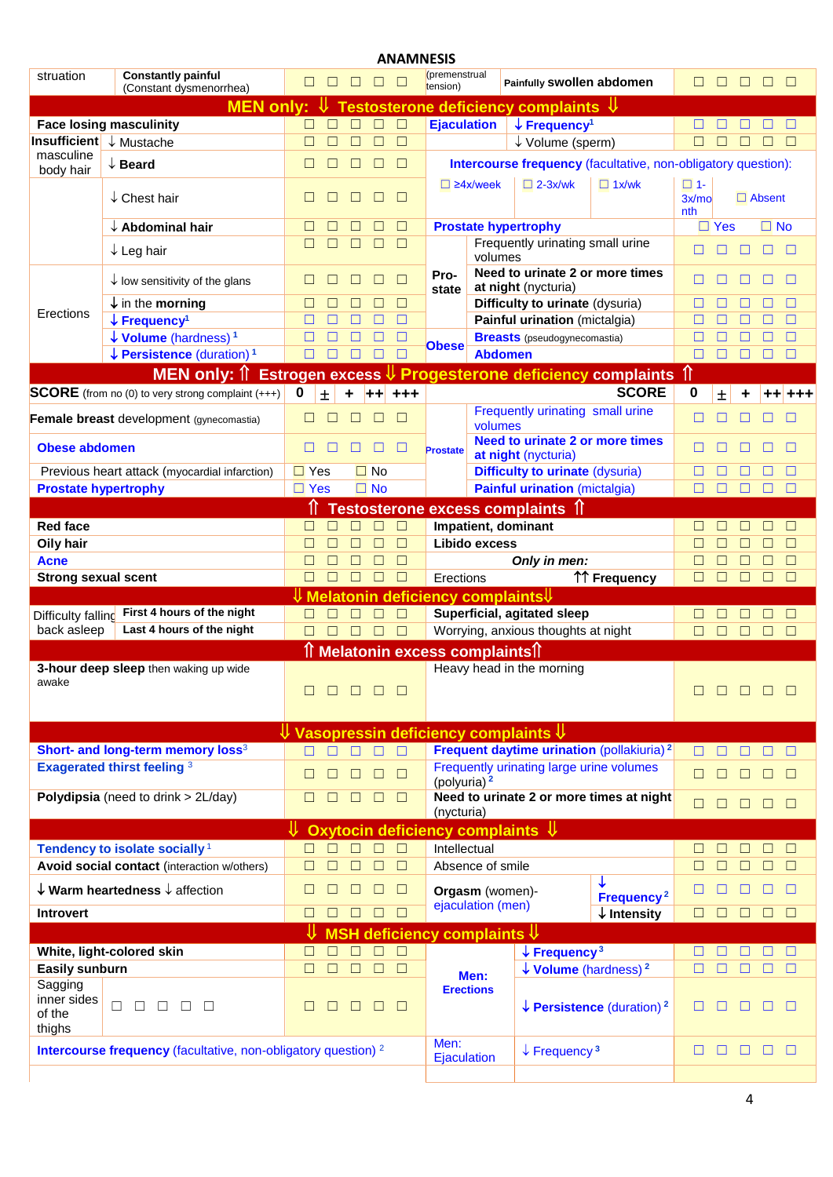|                                            |                                                                                  |                        |        |        |           |         | <b>ANAMNESIS</b>          |                                           |                                                                                         |                                                  |                           |            |        |               |        |
|--------------------------------------------|----------------------------------------------------------------------------------|------------------------|--------|--------|-----------|---------|---------------------------|-------------------------------------------|-----------------------------------------------------------------------------------------|--------------------------------------------------|---------------------------|------------|--------|---------------|--------|
| struation                                  | <b>Constantly painful</b><br>(Constant dysmenorrhea)                             | $\Box$                 | $\Box$ | $\Box$ | $\Box$    | $\Box$  | (premenstrual<br>tension) |                                           | Painfully Swollen abdomen                                                               |                                                  | $\Box$                    | $\Box$     | $\Box$ | $\Box$        | $\Box$ |
|                                            | <b>MEN only:</b>                                                                 |                        |        |        |           |         |                           |                                           | Testosterone deficiency complaints $\,\Downarrow\,$                                     |                                                  |                           |            |        |               |        |
|                                            | <b>Face losing masculinity</b>                                                   | $\Box$                 |        | П      |           | $\Box$  | <b>Ejaculation</b>        |                                           | $\downarrow$ Frequency <sup>1</sup>                                                     |                                                  |                           |            |        |               | □      |
| <b>Insufficient</b> ↓ Mustache             |                                                                                  |                        |        | П      |           | $\Box$  |                           |                                           | ↓ Volume (sperm)                                                                        |                                                  | $\Box$                    |            | Г      |               | □      |
| masculine<br>body hair                     | $\downarrow$ Beard                                                               | ш                      |        | ш      | $\Box$    | $\Box$  |                           |                                           | Intercourse frequency (facultative, non-obligatory question):                           |                                                  |                           |            |        |               |        |
|                                            | $\downarrow$ Chest hair                                                          | $\Box$                 |        | ш      | П         | $\Box$  |                           | $\Box$ 24x/week                           | $\Box$ 2-3x/wk                                                                          | $\Box$ 1x/wk                                     | $\Box$ 1-<br>3x/mo<br>nth |            |        | $\Box$ Absent |        |
|                                            | $\downarrow$ Abdominal hair                                                      | $\Box$                 |        |        |           | □       |                           |                                           | <b>Prostate hypertrophy</b>                                                             |                                                  |                           | $\Box$ Yes |        | $\Box$ No     |        |
|                                            | $\downarrow$ Leg hair                                                            | $\Box$                 |        | П      |           | $\Box$  |                           | volumes                                   | Frequently urinating small urine                                                        |                                                  |                           |            | □      | □             | □      |
|                                            | $\downarrow$ low sensitivity of the glans                                        | ш                      |        | $\Box$ | $\Box$    | $\Box$  | Pro-<br>state             |                                           | Need to urinate 2 or more times<br>at night (nycturia)                                  |                                                  | П                         |            |        |               | E      |
|                                            | $\downarrow$ in the morning                                                      | □                      |        | П      | □         | $\Box$  |                           |                                           | Difficulty to urinate (dysuria)                                                         |                                                  | □                         |            |        |               | $\Box$ |
| Erections                                  | $\downarrow$ Frequency <sup>1</sup>                                              | $\Box$                 |        | П      |           | П       |                           |                                           | Painful urination (mictalgia)                                                           |                                                  |                           |            |        |               | $\Box$ |
|                                            | $\downarrow$ Volume (hardness) <sup>1</sup>                                      | □                      |        |        |           | П       | <b>Obese</b>              |                                           | <b>Breasts</b> (pseudogynecomastia)                                                     |                                                  | П                         |            |        |               | Г      |
|                                            | $\downarrow$ Persistence (duration) <sup>1</sup>                                 | $\Box$                 |        |        | П         | $\Box$  |                           | <b>Abdomen</b>                            |                                                                                         |                                                  | $\Box$                    | П          | □      |               | Г      |
|                                            | <b>MEN only:</b> $\hat{\parallel}$                                               | <b>Estrogen excess</b> |        |        |           |         |                           |                                           | U Progesterone deficiency complaints                                                    |                                                  | ⇑                         |            |        |               |        |
|                                            | <b>SCORE</b> (from no (0) to very strong complaint $(++)$                        | 0                      | 士      | ÷      | $+ +$     | $+ + +$ |                           |                                           |                                                                                         | <b>SCORE</b>                                     | 0                         | Ŧ          |        |               |        |
|                                            | Female breast development (gynecomastia)                                         | $\Box$                 | E      | □      | □         | $\Box$  |                           | volumes                                   | Frequently urinating small urine                                                        |                                                  | □                         |            |        |               | $\Box$ |
| <b>Obese abdomen</b>                       |                                                                                  | $\Box$                 |        |        |           |         | Prostate                  |                                           | Need to urinate 2 or more times<br>at night (nycturia)                                  |                                                  |                           |            |        |               | $\Box$ |
|                                            | Previous heart attack (myocardial infarction)                                    | $\Box$ Yes             |        |        | $\Box$ No |         |                           |                                           | <b>Difficulty to urinate (dysuria)</b>                                                  |                                                  | □                         |            |        |               | Г      |
| <b>Prostate hypertrophy</b>                |                                                                                  | $\Box$ Yes             |        |        | $\Box$ No |         |                           |                                           | <b>Painful urination (mictalgia)</b>                                                    |                                                  | $\Box$                    | П          | □      | П             | Г      |
|                                            |                                                                                  |                        |        |        |           |         |                           |                                           | <b>Testosterone excess complaints 1</b>                                                 |                                                  |                           |            |        |               |        |
| <b>Red face</b>                            |                                                                                  | $\Box$                 | $\Box$ | $\Box$ | $\Box$    | $\Box$  |                           |                                           | Impatient, dominant                                                                     |                                                  | П                         |            | $\Box$ | П             | $\Box$ |
| Oily hair                                  |                                                                                  | □                      |        | П      | П         | $\Box$  |                           | Libido excess                             |                                                                                         |                                                  | □                         | □          | □      | П             | $\Box$ |
| <b>Acne</b>                                |                                                                                  |                        |        | П      | П         | $\Box$  |                           |                                           | Only in men:                                                                            |                                                  | □                         | □          | □      | П             | $\Box$ |
| <b>Strong sexual scent</b>                 |                                                                                  |                        |        | $\Box$ | $\Box$    | $\Box$  | Erections                 |                                           |                                                                                         | ↑↑ Frequency                                     | П                         | $\Box$     | $\Box$ | □             | $\Box$ |
|                                            |                                                                                  |                        |        |        |           |         |                           |                                           | $\Downarrow$ Melatonin deficiency complaints $\Downarrow$                               |                                                  |                           |            |        |               |        |
| Difficulty falling                         | First 4 hours of the night                                                       | П                      | $\Box$ | $\Box$ | $\Box$    | $\Box$  |                           |                                           | Superficial, agitated sleep                                                             |                                                  | □                         |            |        |               | $\Box$ |
| back asleep                                | Last 4 hours of the night                                                        | П                      |        | $\Box$ | $\Box$    | $\Box$  |                           |                                           | Worrying, anxious thoughts at night                                                     |                                                  | П                         | $\Box$     | □      | П             | $\Box$ |
|                                            |                                                                                  |                        |        |        |           |         |                           | <b>Melatonin excess complaints</b>        |                                                                                         |                                                  |                           |            |        |               |        |
| awake                                      | 3-hour deep sleep then waking up wide                                            |                        | $\Box$ |        | n n       | $\Box$  |                           |                                           | Heavy head in the morning                                                               |                                                  |                           |            | ⊔      | I EI EI       |        |
|                                            |                                                                                  |                        |        |        |           |         |                           |                                           | $\overline{\mathsf{\psi}}$ Vasopressin deficiency complaints $\overline{\mathsf{\psi}}$ |                                                  |                           |            |        |               |        |
|                                            | Short- and long-term memory loss <sup>3</sup>                                    | п                      | □      | П      | $\Box$    | $\Box$  |                           |                                           | Frequent daytime urination (pollakiuria) <sup>2</sup>                                   |                                                  | □                         |            |        | П             | $\Box$ |
|                                            | <b>Exagerated thirst feeling 3</b>                                               | $\Box$                 | П      | $\Box$ | $\Box$    | $\Box$  | (polyuria) <sup>2</sup>   |                                           | Frequently urinating large urine volumes                                                |                                                  | □                         | П          | $\Box$ | $\Box$        | $\Box$ |
|                                            | Polydipsia (need to drink > 2L/day)                                              | $\Box$                 | □      | $\Box$ | $\Box$    | $\Box$  | (nycturia)                |                                           | Need to urinate 2 or more times at night                                                |                                                  | $\Box$                    | $\Box$     | $\Box$ | $\Box$        | $\Box$ |
|                                            |                                                                                  | ⇓                      |        |        |           |         |                           |                                           | Oxytocin deficiency complaints $\Downarrow$                                             |                                                  |                           |            |        |               |        |
|                                            | Tendency to isolate socially <sup>1</sup>                                        |                        | ⊓      | $\Box$ | $\Box$    | $\Box$  | Intellectual              |                                           |                                                                                         |                                                  | □                         |            | П      | $\Box$        | $\Box$ |
|                                            | Avoid social contact (interaction w/others)                                      |                        | $\Box$ | $\Box$ | $\Box$    | $\Box$  |                           | Absence of smile                          |                                                                                         |                                                  | $\Box$                    | $\Box$     | $\Box$ | □             | $\Box$ |
|                                            | $\downarrow$ Warm heartedness $\downarrow$ affection                             | $\Box$                 |        | □      | □         | $\Box$  |                           | Orgasm (women)-                           |                                                                                         | Frequency <sup>2</sup>                           | □                         |            | $\Box$ | $\Box$        | □      |
| <b>Introvert</b>                           |                                                                                  | □                      | □      | $\Box$ | $\Box$    | $\Box$  |                           | ejaculation (men)                         |                                                                                         | $\downarrow$ Intensity                           | ⊓                         | $\Box$     | $\Box$ | $\Box$        | $\Box$ |
|                                            |                                                                                  |                        |        |        |           |         |                           | MSH deficiency complaints $\mathcal \psi$ |                                                                                         |                                                  |                           |            |        |               |        |
|                                            | White, light-colored skin                                                        | $\Box$                 | □      | $\Box$ | $\Box$    | $\Box$  |                           |                                           | $\downarrow$ Frequency <sup>3</sup>                                                     |                                                  |                           | Ш          |        | □             | $\Box$ |
| <b>Easily sunburn</b>                      |                                                                                  | П                      | $\Box$ | $\Box$ | $\Box$    | $\Box$  |                           | Men:                                      | $\downarrow$ Volume (hardness) <sup>2</sup>                                             |                                                  | □                         | □          | $\Box$ | □             | $\Box$ |
| Sagging<br>inner sides<br>of the<br>thighs | □<br>$\Box$<br>$\Box$<br>$\Box$<br>П                                             |                        |        | $\Box$ | □         | $\Box$  |                           | <b>Erections</b>                          |                                                                                         | $\downarrow$ Persistence (duration) <sup>2</sup> |                           |            |        |               | $\Box$ |
|                                            | <b>Intercourse frequency</b> (facultative, non-obligatory question) <sup>2</sup> |                        |        |        |           |         | Men:<br>Ejaculation       |                                           | $\downarrow$ Frequency <sup>3</sup>                                                     |                                                  | П                         | □          | □      | □             | □      |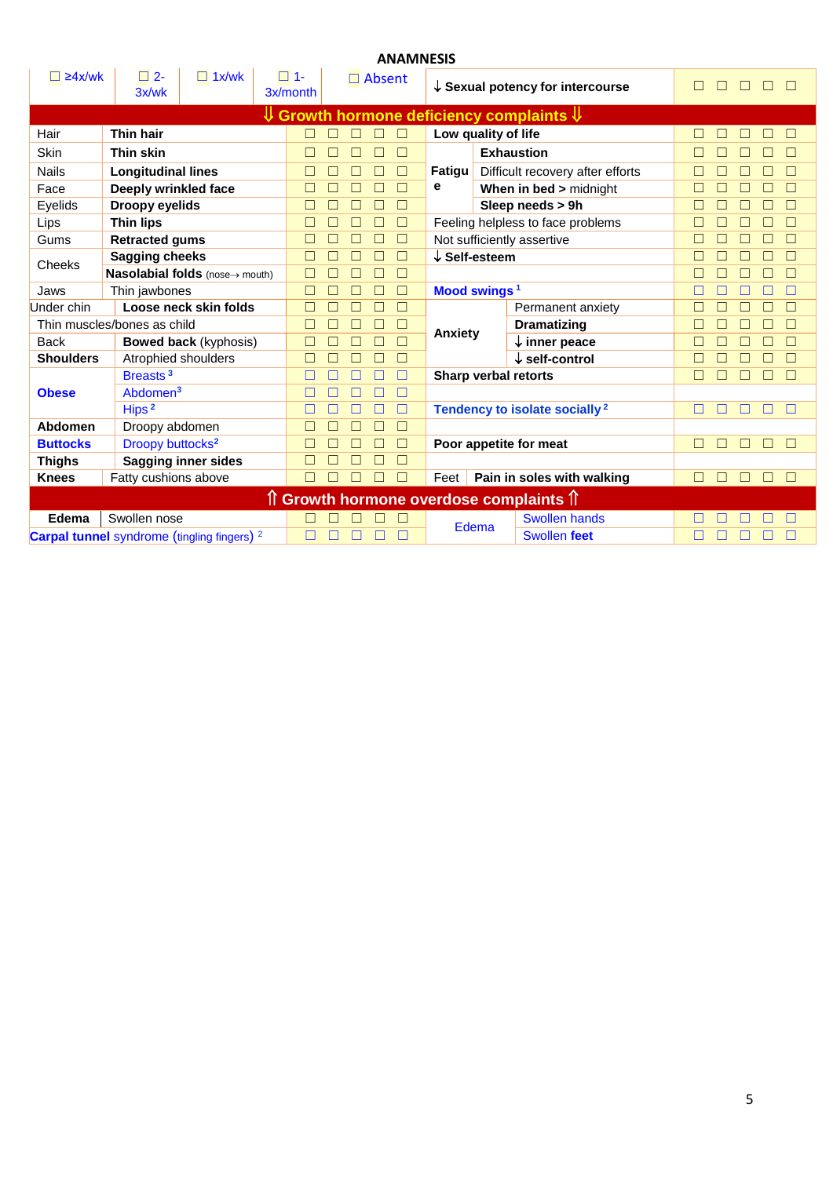|                  |                                                        |                                 |                       |        |  | <b>ANAMNESIS</b> |                          |                   |                                                                      |             |                  |  |
|------------------|--------------------------------------------------------|---------------------------------|-----------------------|--------|--|------------------|--------------------------|-------------------|----------------------------------------------------------------------|-------------|------------------|--|
| $\Box$ 24x/wk    | $\square$ 2-<br>3x/wk                                  | $\Box$ 1x/wk                    | $\Box$ 1-<br>3x/month |        |  | $\Box$ Absent    |                          |                   | $\downarrow$ Sexual potency for intercourse                          | П           | П<br>П           |  |
|                  |                                                        |                                 |                       |        |  |                  |                          |                   | $\mathsf{\Psi}$ Growth hormone deficiency complaints $\mathsf{\Psi}$ |             |                  |  |
| Hair             | Thin hair                                              |                                 |                       |        |  |                  | Low quality of life      |                   |                                                                      |             | □                |  |
| Skin             | Thin skin                                              |                                 |                       | Г      |  | П                |                          | <b>Exhaustion</b> |                                                                      | Г           | П                |  |
| <b>Nails</b>     | <b>Longitudinal lines</b>                              |                                 |                       | $\Box$ |  | П<br>П           | <b>Fatigu</b>            |                   | Difficult recovery after efforts                                     | П           | □                |  |
| Face             | Deeply wrinkled face                                   |                                 |                       | Г      |  | $\Box$           | е                        |                   | When in bed > midnight                                               | Г           | П<br>П           |  |
| Eyelids          | Droopy eyelids                                         |                                 |                       |        |  | П                |                          |                   | Sleep needs > 9h                                                     |             | П                |  |
| Lips             | <b>Thin lips</b>                                       |                                 |                       |        |  | П                |                          |                   | Feeling helpless to face problems                                    | г           | П                |  |
| Gums             | <b>Retracted gums</b>                                  |                                 |                       |        |  |                  |                          |                   | Not sufficiently assertive                                           |             | $\Box$           |  |
| Cheeks           | <b>Sagging cheeks</b>                                  |                                 |                       | Е      |  | П                | $\downarrow$ Self-esteem |                   |                                                                      |             | $\Box$           |  |
|                  |                                                        | Nasolabial folds (nose-> mouth) |                       | Г      |  | $\Box$           |                          |                   |                                                                      |             | $\Box$           |  |
| Jaws             | Thin jawbones                                          |                                 |                       | ⊏      |  | П                | Mood swings <sup>1</sup> |                   |                                                                      |             | □                |  |
| Under chin       |                                                        | Loose neck skin folds           |                       | Г      |  | П                |                          |                   | Permanent anxiety                                                    | ┍           | $\Box$           |  |
|                  | Thin muscles/bones as child                            |                                 |                       | Г      |  |                  | <b>Anxiety</b>           |                   | <b>Dramatizing</b>                                                   |             | П                |  |
| <b>Back</b>      |                                                        | <b>Bowed back (kyphosis)</b>    |                       | Г      |  | $\Box$           |                          |                   | $\downarrow$ inner peace                                             | Г           | $\Box$           |  |
| <b>Shoulders</b> | Atrophied shoulders                                    |                                 |                       |        |  |                  |                          |                   | $\downarrow$ self-control                                            |             | $\Box$           |  |
|                  | Breasts <sup>3</sup>                                   |                                 |                       |        |  |                  | Sharp verbal retorts     |                   |                                                                      | г           | П                |  |
| <b>Obese</b>     | Abdomen <sup>3</sup>                                   |                                 |                       | г      |  | П                |                          |                   |                                                                      |             |                  |  |
|                  | Hips <sup>2</sup>                                      |                                 |                       | ⊏      |  | П                |                          |                   | Tendency to isolate socially <sup>2</sup>                            | □<br>П      | $\Box$<br>П<br>П |  |
| Abdomen          | Droopy abdomen                                         |                                 |                       | Г      |  | П                |                          |                   |                                                                      |             |                  |  |
| <b>Buttocks</b>  | Droopy buttocks <sup>2</sup>                           |                                 |                       |        |  |                  |                          |                   | Poor appetite for meat                                               | П<br>$\Box$ | $\Box$<br>П<br>П |  |
| <b>Thighs</b>    |                                                        | <b>Sagging inner sides</b>      |                       |        |  |                  |                          |                   |                                                                      |             |                  |  |
| <b>Knees</b>     | Fatty cushions above                                   |                                 |                       | Г      |  |                  | Feet                     |                   | Pain in soles with walking                                           | $\Box$      | $\Box$           |  |
|                  |                                                        |                                 |                       |        |  |                  |                          |                   | Ⅱ Growth hormone overdose complaints Ⅱ                               |             |                  |  |
| Edema            | Swollen nose                                           |                                 |                       |        |  |                  |                          |                   | <b>Swollen hands</b>                                                 |             |                  |  |
|                  | Carpal tunnel syndrome (tingling fingers) <sup>2</sup> |                                 |                       |        |  |                  | Edema                    |                   | Swollen feet                                                         |             |                  |  |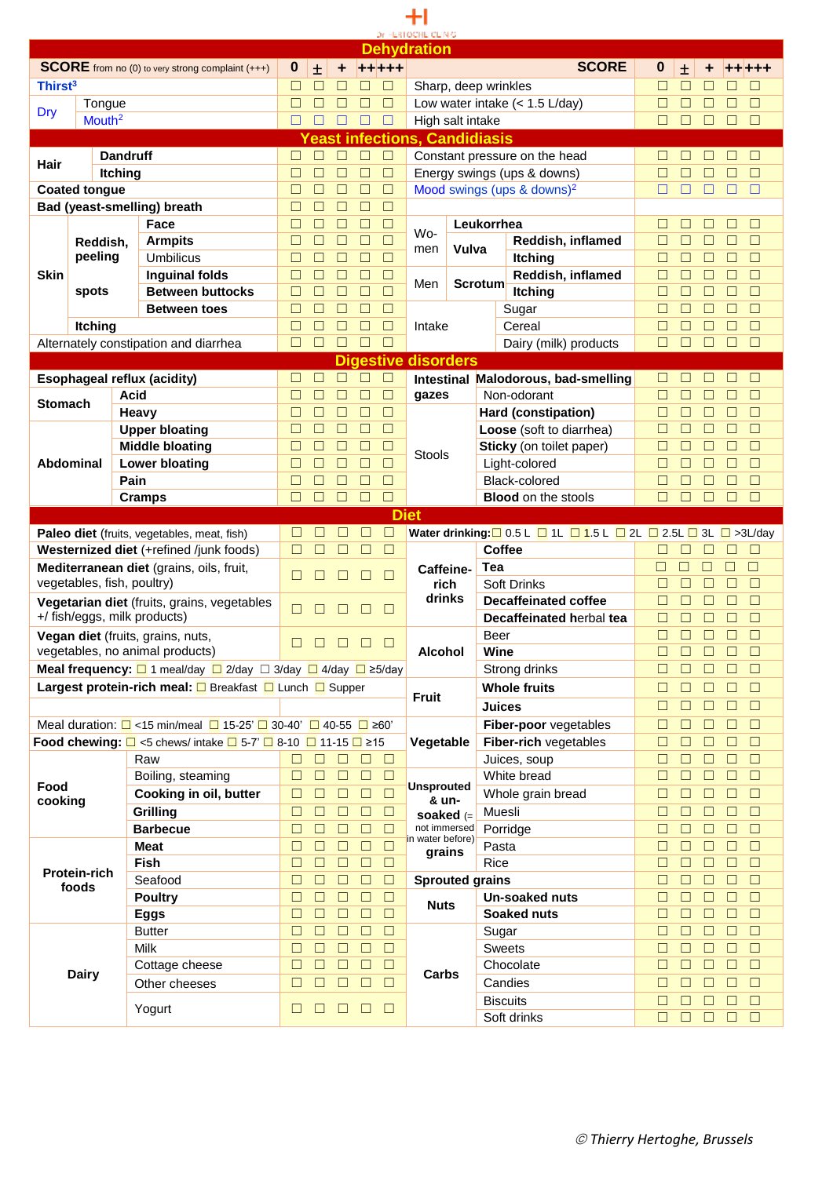## $+1$ DE HERTOCHE CLINIC

|                     |                      |                                                                                               |        |        |        |                            | <b>Dehydration</b>          |                                      |                                                                                                    |             |                                 |                                      |
|---------------------|----------------------|-----------------------------------------------------------------------------------------------|--------|--------|--------|----------------------------|-----------------------------|--------------------------------------|----------------------------------------------------------------------------------------------------|-------------|---------------------------------|--------------------------------------|
|                     |                      | <b>SCORE</b> from no (0) to very strong complaint (+++)                                       | 0      | 土      |        | +++++                      |                             |                                      | <b>SCORE</b>                                                                                       | 0           | 士                               | +++                                  |
|                     |                      |                                                                                               |        |        |        |                            |                             |                                      |                                                                                                    |             |                                 |                                      |
| Thirst <sup>3</sup> |                      |                                                                                               | $\Box$ | ш      |        |                            |                             | Sharp, deep wrinkles                 |                                                                                                    | П           | $\Box$<br>ш                     | $\Box$                               |
| Dry                 | Tongue               |                                                                                               | $\Box$ |        |        | П<br>$\Box$                |                             |                                      | Low water intake $(< 1.5$ L/day)                                                                   | $\Box$      | $\Box$<br>П                     | □<br>П                               |
|                     | Mouth <sup>2</sup>   |                                                                                               | □      |        |        |                            |                             | High salt intake                     |                                                                                                    | П           | □                               | $\Box$                               |
|                     |                      |                                                                                               |        |        |        |                            |                             | <b>Yeast infections, Candidiasis</b> |                                                                                                    |             |                                 |                                      |
|                     |                      | <b>Dandruff</b>                                                                               | $\Box$ | П      | $\Box$ | $\Box$<br>□                |                             |                                      | Constant pressure on the head                                                                      | □           |                                 | $\Box$<br>ш                          |
| Hair                |                      | <b>Itching</b>                                                                                | □      | П      | □      | □<br>$\Box$                |                             |                                      | Energy swings (ups & downs)                                                                        | □           | $\Box$<br>□                     | $\Box$<br>П                          |
|                     |                      |                                                                                               |        |        |        |                            |                             |                                      |                                                                                                    |             |                                 |                                      |
|                     | <b>Coated tongue</b> |                                                                                               | □      | П      | $\Box$ | $\Box$<br>$\Box$           |                             |                                      | Mood swings (ups & downs) <sup>2</sup>                                                             | □           | □<br>□                          | $\Box$<br>П                          |
|                     |                      | Bad (yeast-smelling) breath                                                                   | □      | П      | $\Box$ | $\Box$<br>$\Box$           |                             |                                      |                                                                                                    |             |                                 |                                      |
|                     |                      | Face                                                                                          | □      | П      | □      | $\Box$<br>$\Box$           |                             | Leukorrhea                           |                                                                                                    | □           | □<br>$\Box$                     | □<br>$\Box$                          |
|                     | Reddish,             | <b>Armpits</b>                                                                                | □      | □      | $\Box$ | $\Box$<br>$\Box$           | Wo-                         |                                      | Reddish, inflamed                                                                                  | $\Box$      | □<br>□                          | $\Box$<br>□                          |
|                     | peeling              | <b>Umbilicus</b>                                                                              | $\Box$ | $\Box$ | $\Box$ | □<br>□                     | men                         | Vulva                                | <b>Itching</b>                                                                                     | $\Box$      | □<br>$\Box$                     | $\Box$<br>□                          |
| Skin                |                      | <b>Inguinal folds</b>                                                                         | □      | $\Box$ | $\Box$ | □<br>□                     |                             |                                      | Reddish, inflamed                                                                                  | □           | □<br>□                          | $\Box$<br>П                          |
|                     | spots                | <b>Between buttocks</b>                                                                       | $\Box$ |        | $\Box$ | $\Box$<br>$\Box$           | Men                         | <b>Scrotum</b>                       | <b>Itching</b>                                                                                     | □           | □<br>□                          | $\Box$<br>П                          |
|                     |                      |                                                                                               |        |        |        |                            |                             |                                      |                                                                                                    |             |                                 |                                      |
|                     |                      | <b>Between toes</b>                                                                           | □      |        | $\Box$ | $\Box$<br>$\Box$           |                             |                                      | Sugar                                                                                              | □           | $\Box$<br>□                     | $\Box$<br>П                          |
|                     | Itching              |                                                                                               | □      | $\Box$ | $\Box$ | $\Box$<br>$\Box$           | Intake                      |                                      | Cereal                                                                                             | □           | $\Box$<br>□                     | $\Box$<br>□                          |
|                     |                      | Alternately constipation and diarrhea                                                         | $\Box$ | $\Box$ | $\Box$ | $\Box$<br>$\Box$           |                             |                                      | Dairy (milk) products                                                                              | $\Box$      | $\Box$<br>$\Box$                | $\Box$<br>□                          |
|                     |                      |                                                                                               |        |        |        | <b>Digestive disorders</b> |                             |                                      |                                                                                                    |             |                                 |                                      |
|                     |                      | <b>Esophageal reflux (acidity)</b>                                                            | □      | $\Box$ | $\Box$ | □<br>$\Box$                |                             |                                      | Intestinal Malodorous, bad-smelling                                                                | П           | $\Box$<br>$\Box$                | $\Box$<br>П                          |
|                     |                      | Acid                                                                                          | $\Box$ | □      | $\Box$ | $\Box$<br>$\Box$           | gazes                       |                                      | Non-odorant                                                                                        | □           | $\Box$<br>$\Box$                | $\Box$<br>П                          |
| Stomach             |                      |                                                                                               |        |        |        |                            |                             |                                      |                                                                                                    |             |                                 |                                      |
|                     |                      | Heavy                                                                                         | $\Box$ | П      | □      | $\Box$<br>$\Box$           |                             |                                      | Hard (constipation)                                                                                | $\Box$      | $\Box$<br>$\Box$                | $\Box$<br>П                          |
|                     |                      | <b>Upper bloating</b>                                                                         | $\Box$ | П      | □      | $\Box$<br>$\Box$           |                             |                                      | Loose (soft to diarrhea)                                                                           | $\Box$      | $\Box$<br>$\Box$                | $\Box$<br>П                          |
|                     |                      | <b>Middle bloating</b>                                                                        | $\Box$ | $\Box$ | □      | □<br>$\Box$                | Stools                      |                                      | Sticky (on toilet paper)                                                                           | $\Box$      | $\Box$<br>$\Box$                | $\Box$<br>□                          |
|                     | Abdominal            | <b>Lower bloating</b>                                                                         | ⊔      |        | П      | $\Box$<br>□                |                             |                                      | Light-colored                                                                                      | $\Box$      | □<br>$\Box$                     | $\Box$<br>□                          |
|                     |                      | Pain                                                                                          | Ш      |        |        | П<br>□                     |                             |                                      | Black-colored                                                                                      | $\Box$      | □                               | $\Box$<br>П                          |
|                     |                      | <b>Cramps</b>                                                                                 | □      | П      | □      | □                          |                             |                                      | <b>Blood</b> on the stools                                                                         | □           | □<br>□                          | $\Box$<br>П                          |
|                     |                      |                                                                                               |        |        |        |                            | <b>Diet</b>                 |                                      |                                                                                                    |             |                                 |                                      |
|                     |                      |                                                                                               |        |        |        | □<br>⊏                     |                             |                                      |                                                                                                    |             |                                 |                                      |
|                     |                      | Paleo diet (fruits, vegetables, meat, fish)                                                   | $\Box$ |        |        |                            |                             |                                      | Water drinking: $\Box$ 0.5 L $\Box$ 1L $\Box$ 1.5 L $\Box$ 2L $\Box$ 2.5L $\Box$ 3L $\Box$ >3L/day |             |                                 |                                      |
|                     |                      | Westernized diet (+refined /junk foods)                                                       | $\Box$ | П      | □      | $\Box$<br>□                |                             |                                      | Coffee                                                                                             | $\Box$      | П                               | $\Box$<br>□                          |
|                     |                      | Mediterranean diet (grains, oils, fruit,                                                      | □      |        | П      | $\Box$<br>$\Box$           | Caffeine-                   | Tea                                  |                                                                                                    | $\Box$      | $\Box$<br>$\Box$                | □<br>$\Box$                          |
|                     |                      | vegetables, fish, poultry)                                                                    |        |        |        |                            | rich                        |                                      | <b>Soft Drinks</b>                                                                                 | □           | $\Box$<br>$\Box$                | $\Box$<br>$\Box$                     |
|                     |                      | Vegetarian diet (fruits, grains, vegetables                                                   |        |        |        |                            | drinks                      |                                      | <b>Decaffeinated coffee</b>                                                                        | □           | $\Box$<br>$\Box$                | $\Box$<br>$\Box$                     |
|                     |                      | +/ fish/eggs, milk products)                                                                  | П      |        |        | $\Box$                     |                             |                                      | Decaffeinated herbal tea                                                                           | □           | $\Box$<br>□                     | $\Box$<br>□                          |
|                     |                      | Vegan diet (fruits, grains, nuts,                                                             |        |        |        |                            |                             | Beer                                 |                                                                                                    | □           | □<br>□                          | $\Box$<br>П                          |
|                     |                      | vegetables, no animal products)                                                               | П      |        |        |                            | Alcohol                     |                                      |                                                                                                    |             |                                 | □<br>П                               |
|                     |                      |                                                                                               |        |        |        |                            |                             |                                      |                                                                                                    |             |                                 |                                      |
|                     |                      | <b>Meal frequency:</b> $\Box$ 1 meal/day $\Box$ 2/day $\Box$ 3/day $\Box$ 4/day $\Box$ ≥5/day |        |        |        |                            |                             | Wine                                 |                                                                                                    | □           | □<br>$\Box$                     |                                      |
|                     |                      |                                                                                               |        |        |        |                            |                             |                                      | Strong drinks                                                                                      | $\Box$      | $\Box$<br>$\Box$                | $\Box$                               |
|                     |                      | Largest protein-rich meal: □ Breakfast □ Lunch □ Supper                                       |        |        |        |                            |                             |                                      | <b>Whole fruits</b>                                                                                | □           | $\Box$<br>$\Box$                | $\Box$<br>$\Box$                     |
|                     |                      |                                                                                               |        |        |        |                            | <b>Fruit</b>                |                                      | <b>Juices</b>                                                                                      | $\Box$      | $\Box$<br>$\Box$                | $\Box$<br>□                          |
|                     |                      | Meal duration: $\Box$ <15 min/meal $\Box$ 15-25' $\Box$ 30-40' $\Box$ 40-55 $\Box$ ≥60'       |        |        |        |                            |                             |                                      |                                                                                                    | □           | $\Box$<br>$\Box$                | $\Box$<br>$\Box$                     |
|                     |                      |                                                                                               |        |        |        |                            |                             |                                      | Fiber-poor vegetables                                                                              |             |                                 |                                      |
|                     |                      | <b>Food chewing:</b> $\Box$ <5 chews/ intake $\Box$ 5-7' $\Box$ 8-10 $\Box$ 11-15 $\Box$ ≥15  |        |        |        |                            | Vegetable                   |                                      | Fiber-rich vegetables                                                                              | $\Box$      | $\Box$<br>$\Box$                | $\Box$<br>$\Box$                     |
|                     |                      | Raw                                                                                           | $\Box$ | $\Box$ | $\Box$ | $\Box$<br>$\Box$           |                             |                                      | Juices, soup                                                                                       | □           | $\Box$<br>$\Box$                | $\Box$<br>$\Box$                     |
|                     |                      | Boiling, steaming                                                                             | $\Box$ | $\Box$ | $\Box$ | $\Box$<br>$\Box$           |                             |                                      | White bread                                                                                        | $\Box$      | $\Box$<br>$\Box$                | $\Box$<br>$\Box$                     |
| Food                |                      | Cooking in oil, butter                                                                        | □      | □      | $\Box$ | $\Box$<br>$\Box$           | <b>Unsprouted</b>           |                                      | Whole grain bread                                                                                  | □           | $\Box$<br>$\Box$                | $\Box$<br>$\Box$                     |
| cooking             |                      | Grilling                                                                                      | $\Box$ | □      | $\Box$ | □<br>$\Box$                | & un-                       |                                      | Muesli                                                                                             | $\Box$      | $\Box$<br>$\Box$                | $\Box$<br>□                          |
|                     |                      | <b>Barbecue</b>                                                                               | $\Box$ | □      | $\Box$ | $\Box$<br>$\Box$           | soaked $(=$<br>not immersed |                                      | Porridge                                                                                           | □           | $\Box$<br>$\Box$                | $\Box$<br>$\Box$                     |
|                     |                      |                                                                                               | □      | □      |        | $\Box$                     | in water before)            |                                      |                                                                                                    | □           |                                 | $\Box$                               |
|                     |                      | <b>Meat</b>                                                                                   |        |        | $\Box$ | $\Box$                     | grains                      | Pasta                                |                                                                                                    |             | $\Box$<br>$\Box$                | $\Box$                               |
|                     | <b>Protein-rich</b>  | <b>Fish</b>                                                                                   | $\Box$ | $\Box$ | $\Box$ | $\Box$<br>$\Box$           |                             | Rice                                 |                                                                                                    | □           | $\Box$<br>$\Box$                | $\Box$<br>$\Box$                     |
|                     | foods                | Seafood                                                                                       | $\Box$ | $\Box$ | $\Box$ | $\Box$<br>$\Box$           |                             | <b>Sprouted grains</b>               |                                                                                                    | $\Box$      | $\Box$<br>$\Box$                | $\Box$<br>$\Box$                     |
|                     |                      | <b>Poultry</b>                                                                                | $\Box$ | $\Box$ | $\Box$ | $\Box$<br>$\Box$           | <b>Nuts</b>                 |                                      | Un-soaked nuts                                                                                     | $\Box$      | $\Box$<br>$\Box$                | $\Box$<br>$\Box$                     |
|                     |                      | <b>Eggs</b>                                                                                   | $\Box$ | $\Box$ | $\Box$ | $\Box$<br>$\Box$           |                             |                                      | <b>Soaked nuts</b>                                                                                 | $\Box$      | $\Box$<br>$\Box$                | $\Box$<br>$\Box$                     |
|                     |                      | <b>Butter</b>                                                                                 | □      | $\Box$ | $\Box$ | $\Box$<br>$\Box$           |                             |                                      | Sugar                                                                                              | $\Box$      | $\square$<br>$\Box$             | $\Box$<br>$\Box$                     |
|                     |                      | Milk                                                                                          | □      | $\Box$ | $\Box$ | $\Box$<br>$\Box$           |                             |                                      | <b>Sweets</b>                                                                                      | □           | $\square$<br>$\Box$             | $\Box$<br>$\Box$                     |
|                     |                      |                                                                                               | $\Box$ | □      | $\Box$ | $\Box$<br>$\Box$           |                             |                                      |                                                                                                    | □           | $\square$<br>$\Box$             | $\Box$<br>□                          |
|                     | <b>Dairy</b>         | Cottage cheese                                                                                |        |        |        |                            | Carbs                       |                                      | Chocolate                                                                                          |             |                                 |                                      |
|                     |                      | Other cheeses                                                                                 | $\Box$ | □      | $\Box$ | $\Box$<br>$\Box$           |                             |                                      | Candies                                                                                            | $\Box$      | $\Box$<br>$\Box$                | $\Box$<br>□                          |
|                     |                      | Yogurt                                                                                        | $\Box$ | ш      | $\Box$ | $\Box$<br>$\Box$           |                             |                                      | <b>Biscuits</b><br>Soft drinks                                                                     | $\Box$<br>□ | □<br>$\Box$<br>$\Box$<br>$\Box$ | $\Box$<br>$\Box$<br>$\Box$<br>$\Box$ |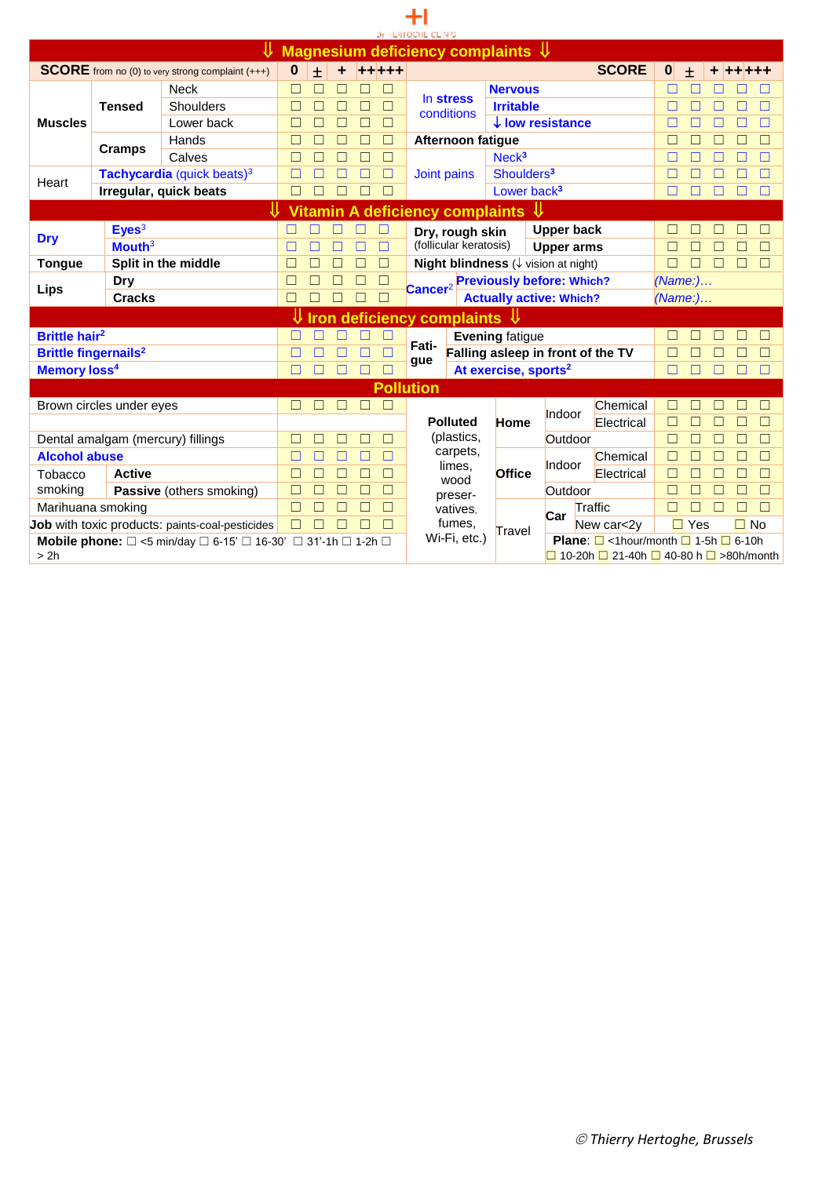|                                                                                                            |                                   |                                                         |              |       |        |        |              | Dr. HERTOCHE CLINIC |                                                       |                                  |                                                                                                        |        |              |            |              |   |        |        |
|------------------------------------------------------------------------------------------------------------|-----------------------------------|---------------------------------------------------------|--------------|-------|--------|--------|--------------|---------------------|-------------------------------------------------------|----------------------------------|--------------------------------------------------------------------------------------------------------|--------|--------------|------------|--------------|---|--------|--------|
|                                                                                                            |                                   |                                                         |              |       |        |        |              |                     | Magnesium deficiency complaints $\sqrt{1}$            |                                  |                                                                                                        |        |              |            |              |   |        |        |
|                                                                                                            |                                   | <b>SCORE</b> from no (0) to very strong complaint (+++) | 0            | $\pm$ | ٠      | +++++  |              |                     |                                                       |                                  |                                                                                                        |        | <b>SCORE</b> | $\bf{0}$   | $+$          |   |        |        |
|                                                                                                            |                                   | <b>Neck</b>                                             | □            |       |        |        |              |                     |                                                       | <b>Nervous</b>                   |                                                                                                        |        |              |            |              |   |        |        |
|                                                                                                            | <b>Tensed</b>                     | Shoulders                                               | П            |       |        | П      |              |                     | In stress<br>conditions                               | <b>Irritable</b>                 |                                                                                                        |        |              |            |              |   |        |        |
| <b>Muscles</b>                                                                                             |                                   | Lower back                                              | П            |       |        |        |              |                     |                                                       |                                  | $\downarrow$ low resistance                                                                            |        |              |            |              |   |        |        |
|                                                                                                            | <b>Cramps</b>                     | Hands                                                   | П            |       | П      | П      | $\Box$       |                     | <b>Afternoon fatigue</b>                              |                                  |                                                                                                        |        |              |            |              |   |        | П      |
|                                                                                                            |                                   | Calves                                                  | П            |       | П      | $\Box$ | $\Box$       |                     |                                                       | Neck <sup>3</sup>                |                                                                                                        |        |              | $\Box$     |              |   |        | П      |
| Heart                                                                                                      |                                   | Tachycardia (quick beats) <sup>3</sup>                  | П            |       |        |        | П            | Joint pains         |                                                       | Shoulders <sup>3</sup>           |                                                                                                        |        |              |            |              |   |        |        |
|                                                                                                            |                                   | Irregular, quick beats                                  | П            |       |        |        |              |                     |                                                       | Lower back <sup>3</sup>          |                                                                                                        |        |              | П          |              |   |        |        |
|                                                                                                            |                                   |                                                         |              |       |        |        |              |                     | Vitamin A deficiency complaints $\Downarrow$          |                                  |                                                                                                        |        |              |            |              |   |        |        |
|                                                                                                            | Eyes <sup>3</sup>                 |                                                         |              |       |        |        |              |                     | Dry, rough skin                                       |                                  | <b>Upper back</b>                                                                                      |        |              |            |              |   |        |        |
| <b>Dry</b>                                                                                                 | Mouth <sup>3</sup>                |                                                         | П            |       |        |        | П            |                     | (follicular keratosis)                                |                                  | <b>Upper arms</b>                                                                                      |        |              | П          |              |   |        | П      |
| <b>Tongue</b>                                                                                              |                                   | Split in the middle                                     | П            |       |        | П      | П            |                     | <b>Night blindness</b> $(\downarrow$ vision at night) |                                  |                                                                                                        |        |              | П          |              |   |        | $\Box$ |
|                                                                                                            | <b>Dry</b>                        |                                                         | $\mathsf{L}$ |       |        | П      | □            |                     |                                                       | <b>Previously before: Which?</b> |                                                                                                        |        |              | $(Name:).$ |              |   |        |        |
| Lips                                                                                                       | <b>Cracks</b>                     |                                                         | П            |       |        |        | $\Box$       | Cancer <sup>2</sup> |                                                       | <b>Actually active: Which?</b>   |                                                                                                        |        |              | (Name: )   |              |   |        |        |
|                                                                                                            |                                   |                                                         |              |       |        |        |              |                     | <b>Iron deficiency complaints</b>                     | _U                               |                                                                                                        |        |              |            |              |   |        |        |
| <b>Brittle hair<sup>2</sup></b>                                                                            |                                   |                                                         |              |       |        |        |              |                     |                                                       | <b>Evening fatigue</b>           |                                                                                                        |        |              |            |              |   |        |        |
| <b>Brittle fingernails<sup>2</sup></b>                                                                     |                                   |                                                         | $\Box$       |       | П      | $\Box$ |              | Fati-               | Falling asleep in front of the TV                     |                                  |                                                                                                        |        |              | П          |              |   |        | П      |
| Memory loss <sup>4</sup>                                                                                   |                                   |                                                         | $\Box$       | П     | П      |        |              | gue                 |                                                       | At exercise, sports <sup>2</sup> |                                                                                                        |        |              | П          |              | П |        | П      |
|                                                                                                            |                                   |                                                         |              |       |        |        |              | <b>Pollution</b>    |                                                       |                                  |                                                                                                        |        |              |            |              |   |        |        |
|                                                                                                            | Brown circles under eyes          |                                                         | П            |       |        |        |              |                     |                                                       |                                  |                                                                                                        |        | Chemical     |            |              |   |        |        |
|                                                                                                            |                                   |                                                         |              |       |        |        |              |                     | <b>Polluted</b>                                       | <b>Home</b>                      | Indoor                                                                                                 |        | Electrical   | П          |              |   |        |        |
|                                                                                                            | Dental amalgam (mercury) fillings |                                                         | П            |       |        |        |              |                     | (plastics,                                            |                                  | Outdoor                                                                                                |        |              | П          |              |   |        | П      |
| <b>Alcohol abuse</b>                                                                                       |                                   |                                                         | □            |       |        |        |              |                     | carpets,                                              |                                  | Indoor                                                                                                 |        | Chemical     |            |              |   |        | П      |
| Tobacco                                                                                                    | <b>Active</b>                     |                                                         | $\Box$       |       | $\Box$ | $\Box$ | $\Box$       |                     | limes,<br>wood                                        | Office                           |                                                                                                        |        | Electrical   | $\Box$     | П            |   | $\Box$ | $\Box$ |
| smoking                                                                                                    |                                   | <b>Passive</b> (others smoking)                         | П            |       | П      | $\Box$ | $\Box$       |                     | preser-                                               |                                  | Outdoor                                                                                                |        |              | П          |              |   |        | $\Box$ |
| Marihuana smoking                                                                                          | П                                 |                                                         |              |       | П      |        | vatives.     |                     | Car                                                   | Traffic                          |                                                                                                        |        |              |            |              |   |        |        |
| Job with toxic products: paints-coal-pesticides                                                            | $\Box$                            |                                                         |              |       |        |        | fumes.       | Travel              |                                                       |                                  | New car<2y                                                                                             | $\Box$ | Yes          |            | $\square$ No |   |        |        |
| <b>Mobile phone:</b> $\Box$ <5 min/day $\Box$ 6-15' $\Box$ 16-30' $\Box$ 31'-1h $\Box$ 1-2h $\Box$<br>> 2h |                                   |                                                         |              |       |        |        | Wi-Fi, etc.) |                     |                                                       |                                  | <b>Plane:</b> $\Box$ <1hour/month $\Box$ 1-5h $\Box$ 6-10h<br>□ 10-20h □ 21-40h □ 40-80 h □ >80h/month |        |              |            |              |   |        |        |

 $+1$